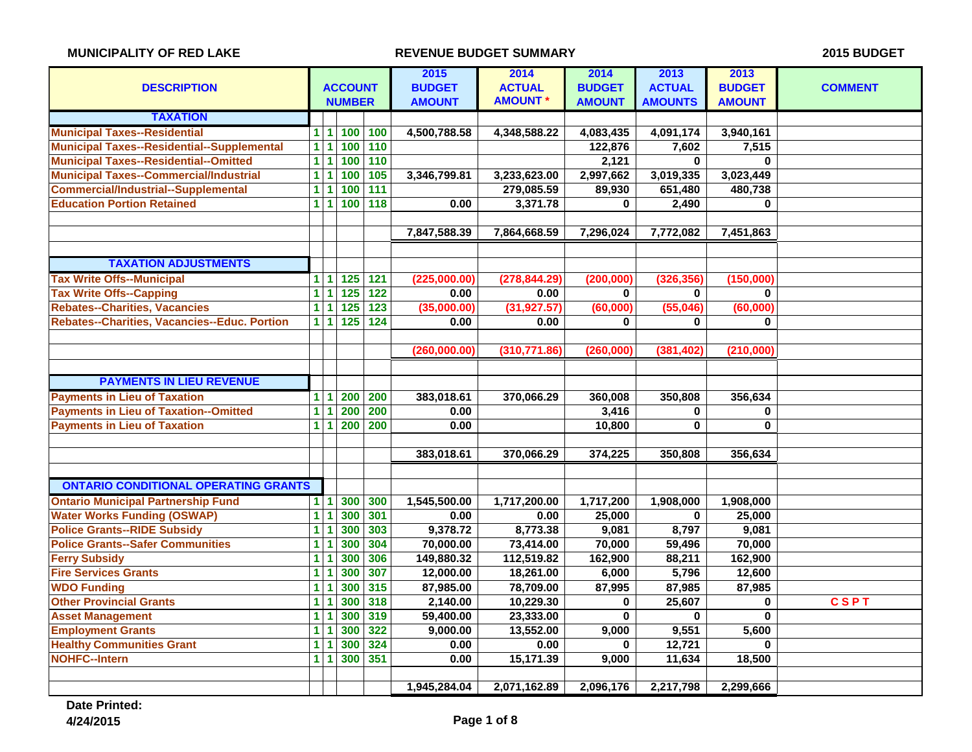| <b>DESCRIPTION</b>                                | <b>ACCOUNT</b> |            |                  | 2015<br><b>BUDGET</b> | 2014<br><b>ACTUAL</b> | 2014<br><b>BUDGET</b> | 2013<br><b>ACTUAL</b> | 2013<br><b>BUDGET</b> | <b>COMMENT</b> |             |
|---------------------------------------------------|----------------|------------|------------------|-----------------------|-----------------------|-----------------------|-----------------------|-----------------------|----------------|-------------|
|                                                   |                |            | <b>NUMBER</b>    |                       | <b>AMOUNT</b>         | <b>AMOUNT *</b>       | <b>AMOUNT</b>         | <b>AMOUNTS</b>        | <b>AMOUNT</b>  |             |
| <b>TAXATION</b>                                   |                |            |                  |                       |                       |                       |                       |                       |                |             |
| <b>Municipal Taxes--Residential</b>               |                | $1\vert 1$ | 100              | 100                   | 4,500,788.58          | 4,348,588.22          | 4,083,435             | 4,091,174             | 3,940,161      |             |
| <b>Municipal Taxes--Residential--Supplemental</b> | $\overline{1}$ | 1          | 100              | 110                   |                       |                       | 122,876               | 7,602                 | 7,515          |             |
| <b>Municipal Taxes--Residential--Omitted</b>      | $\overline{1}$ | 1          | 100              | 110                   |                       |                       | 2,121                 | $\bf{0}$              | $\bf{0}$       |             |
| <b>Municipal Taxes--Commercial/Industrial</b>     | $\mathbf{1}$   | 1          | 100              | 105                   | 3,346,799.81          | 3,233,623.00          | 2,997,662             | 3,019,335             | 3,023,449      |             |
| <b>Commercial/Industrial--Supplemental</b>        | 1 <sup>1</sup> | 1          | 100              | $\overline{111}$      |                       | 279,085.59            | 89,930                | 651,480               | 480,738        |             |
| <b>Education Portion Retained</b>                 |                | 111        | 100              | $\frac{1}{18}$        | 0.00                  | 3,371.78              | 0                     | 2,490                 | 0              |             |
|                                                   |                |            |                  |                       |                       |                       |                       |                       |                |             |
|                                                   |                |            |                  |                       | 7,847,588.39          | 7,864,668.59          | 7,296,024             | 7,772,082             | 7,451,863      |             |
|                                                   |                |            |                  |                       |                       |                       |                       |                       |                |             |
| <b>TAXATION ADJUSTMENTS</b>                       |                |            |                  |                       |                       |                       |                       |                       |                |             |
| <b>Tax Write Offs--Municipal</b>                  | 1 <sup>1</sup> | 1          | $\boxed{125}$    | 121                   | (225,000.00)          | (278, 844.29)         | (200, 000)            | (326, 356)            | (150,000)      |             |
| <b>Tax Write Offs--Capping</b>                    | $\mathbf{1}$   | 1          | $\overline{125}$ | $\overline{122}$      | 0.00                  | 0.00                  | 0                     | $\bf{0}$              | 0              |             |
| <b>Rebates--Charities, Vacancies</b>              | $\overline{1}$ | 1          | $\overline{125}$ | $\overline{123}$      | (35,000.00)           | (31, 927.57)          | (60,000)              | (55,046)              | (60,000)       |             |
| Rebates--Charities, Vacancies--Educ. Portion      |                | 111        | $125$            | $\overline{124}$      | 0.00                  | 0.00                  | 0                     | 0                     | $\bf{0}$       |             |
|                                                   |                |            |                  |                       |                       |                       |                       |                       |                |             |
|                                                   |                |            |                  |                       | (260,000.00)          | (310, 771.86)         | (260,000)             | (381, 402)            | (210,000)      |             |
|                                                   |                |            |                  |                       |                       |                       |                       |                       |                |             |
| <b>PAYMENTS IN LIEU REVENUE</b>                   |                |            |                  |                       |                       |                       |                       |                       |                |             |
| <b>Payments in Lieu of Taxation</b>               | 1 <sup>1</sup> | 1          | 200              | 200                   | 383,018.61            | 370,066.29            | 360,008               | 350,808               | 356,634        |             |
| <b>Payments in Lieu of Taxation--Omitted</b>      | $\overline{1}$ | 1          | 200              | 200                   | 0.00                  |                       | 3,416                 | 0                     | 0              |             |
| <b>Payments in Lieu of Taxation</b>               | 1 <sup>1</sup> | 1          | 200              | 200                   | 0.00                  |                       | 10,800                | $\bf{0}$              | $\bf{0}$       |             |
|                                                   |                |            |                  |                       |                       |                       |                       |                       |                |             |
|                                                   |                |            |                  |                       | 383,018.61            | 370,066.29            | 374,225               | 350,808               | 356,634        |             |
|                                                   |                |            |                  |                       |                       |                       |                       |                       |                |             |
| <b>ONTARIO CONDITIONAL OPERATING GRANTS</b>       |                |            |                  |                       |                       |                       |                       |                       |                |             |
| <b>Ontario Municipal Partnership Fund</b>         | 111            |            | 300              | 300                   | 1,545,500.00          | 1,717,200.00          | 1,717,200             | 1,908,000             | 1,908,000      |             |
| <b>Water Works Funding (OSWAP)</b>                | $\overline{1}$ | 1          | 300              | 301                   | 0.00                  | 0.00                  | 25,000                | $\bf{0}$              | 25,000         |             |
| <b>Police Grants--RIDE Subsidy</b>                | 1              | 1          | 300              | 303                   | 9,378.72              | 8,773.38              | 9,081                 | 8,797                 | 9,081          |             |
| <b>Police Grants--Safer Communities</b>           | 1              | 1          | 300              | 304                   | 70,000.00             | 73,414.00             | 70,000                | 59,496                | 70,000         |             |
| <b>Ferry Subsidy</b>                              | $\overline{1}$ | 1          | 300              | 306                   | 149,880.32            | 112,519.82            | 162,900               | 88,211                | 162,900        |             |
| <b>Fire Services Grants</b>                       | $\overline{1}$ | 1          | 300              | 307                   | 12,000.00             | 18,261.00             | 6,000                 | 5,796                 | 12,600         |             |
| <b>WDO Funding</b>                                | 1              | 1          | 300              | 315                   | 87,985.00             | 78,709.00             | 87,995                | 87,985                | 87,985         |             |
| <b>Other Provincial Grants</b>                    | 1              | 1          | 300              | 318                   | 2,140.00              | 10,229.30             | 0                     | 25,607                | 0              | <b>CSPT</b> |
| <b>Asset Management</b>                           | 1 <sup>1</sup> |            | 300              | 319                   | 59,400.00             | 23,333.00             | $\bf{0}$              | $\mathbf 0$           | $\bf{0}$       |             |
| <b>Employment Grants</b>                          | 1              | 1          | 300              | 322                   | 9,000.00              | 13,552.00             | 9,000                 | 9,551                 | 5,600          |             |
| <b>Healthy Communities Grant</b>                  | 1              |            | 300              | 324                   | 0.00                  | 0.00                  | 0                     | 12,721                | $\bf{0}$       |             |
| <b>NOHFC--Intern</b>                              |                | 111        | 300              | 351                   | 0.00                  | 15,171.39             | 9,000                 | 11,634                | 18,500         |             |
|                                                   |                |            |                  |                       |                       |                       |                       |                       |                |             |
|                                                   |                |            |                  |                       | 1,945,284.04          | 2,071,162.89          | 2,096,176             | 2,217,798             | 2,299,666      |             |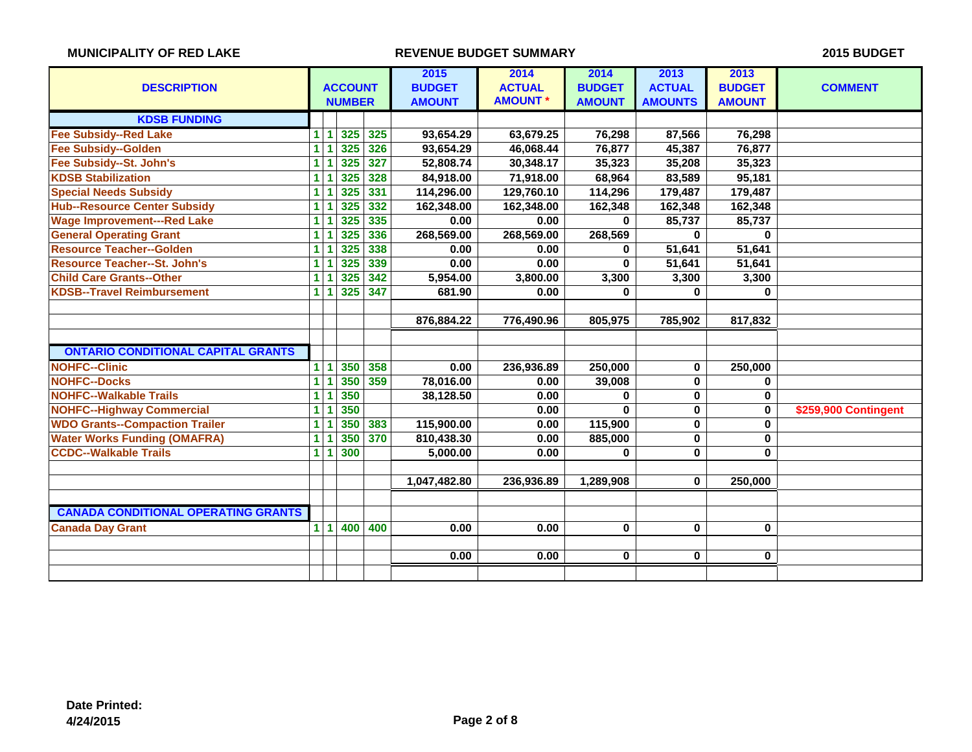| <b>ACCOUNT</b><br><b>DESCRIPTION</b>       |                |           | 2015<br><b>BUDGET</b> | 2014<br><b>ACTUAL</b> | 2014<br><b>BUDGET</b> | 2013<br><b>ACTUAL</b> | 2013<br><b>BUDGET</b> | <b>COMMENT</b> |               |                      |
|--------------------------------------------|----------------|-----------|-----------------------|-----------------------|-----------------------|-----------------------|-----------------------|----------------|---------------|----------------------|
|                                            |                |           | <b>NUMBER</b>         |                       | <b>AMOUNT</b>         | <b>AMOUNT*</b>        | <b>AMOUNT</b>         | <b>AMOUNTS</b> | <b>AMOUNT</b> |                      |
| <b>KDSB FUNDING</b>                        |                |           |                       |                       |                       |                       |                       |                |               |                      |
| <b>Fee Subsidy--Red Lake</b>               | $\mathbf{1}$   |           | 325                   | 325                   | 93,654.29             | 63,679.25             | 76,298                | 87,566         | 76,298        |                      |
| <b>Fee Subsidy--Golden</b>                 | $\mathbf{1}$   |           | 325                   | 326                   | 93,654.29             | 46,068.44             | 76,877                | 45,387         | 76,877        |                      |
| Fee Subsidy--St. John's                    | 1.             |           | 325                   | 327                   | 52,808.74             | 30,348.17             | 35,323                | 35,208         | 35,323        |                      |
| <b>KDSB Stabilization</b>                  | 1.             |           | 325                   | 328                   | 84,918.00             | 71,918.00             | 68,964                | 83,589         | 95,181        |                      |
| <b>Special Needs Subsidy</b>               | $\blacksquare$ |           | 325                   | 331                   | 114,296.00            | 129,760.10            | 114,296               | 179,487        | 179,487       |                      |
| <b>Hub--Resource Center Subsidy</b>        | $\blacksquare$ |           | 325                   | 332                   | 162,348.00            | 162,348.00            | 162,348               | 162,348        | 162,348       |                      |
| <b>Wage Improvement---Red Lake</b>         | $\blacksquare$ |           | 325                   | 335                   | 0.00                  | 0.00                  | $\bf{0}$              | 85,737         | 85,737        |                      |
| <b>General Operating Grant</b>             | $\blacksquare$ |           | 325                   | 336                   | 268,569.00            | 268,569.00            | 268,569               | $\bf{0}$       | $\bf{0}$      |                      |
| <b>Resource Teacher--Golden</b>            | $\mathbf{1}$   |           | 325                   | 338                   | 0.00                  | 0.00                  | $\bf{0}$              | 51,641         | 51,641        |                      |
| <b>Resource Teacher--St. John's</b>        | 1              |           | 325                   | 339                   | 0.00                  | 0.00                  | $\bf{0}$              | 51,641         | 51,641        |                      |
| <b>Child Care Grants--Other</b>            | 1              |           | 325                   | 342                   | 5,954.00              | 3,800.00              | 3,300                 | 3,300          | 3,300         |                      |
| <b>KDSB--Travel Reimbursement</b>          | $\mathbf{1}$   | -1        | 325                   | 347                   | 681.90                | 0.00                  | $\bf{0}$              | 0              | 0             |                      |
|                                            |                |           |                       |                       |                       |                       |                       |                |               |                      |
|                                            |                |           |                       |                       | 876,884.22            | 776,490.96            | 805,975               | 785,902        | 817,832       |                      |
|                                            |                |           |                       |                       |                       |                       |                       |                |               |                      |
| <b>ONTARIO CONDITIONAL CAPITAL GRANTS</b>  |                |           |                       |                       |                       |                       |                       |                |               |                      |
| <b>NOHFC--Clinic</b>                       | 1              | -1        | 350                   | 358                   | 0.00                  | 236,936.89            | 250,000               | 0              | 250,000       |                      |
| <b>NOHFC--Docks</b>                        | $\mathbf{1}$   |           | 350                   | 359                   | 78,016.00             | 0.00                  | 39,008                | 0              | $\mathbf 0$   |                      |
| <b>NOHFC--Walkable Trails</b>              | $\overline{1}$ |           | 350                   |                       | 38,128.50             | 0.00                  | 0                     | $\mathbf{0}$   | $\bf{0}$      |                      |
| <b>NOHFC--Highway Commercial</b>           | 1              |           | 350                   |                       |                       | 0.00                  | $\bf{0}$              | $\mathbf{0}$   | $\bf{0}$      | \$259,900 Contingent |
| <b>WDO Grants--Compaction Trailer</b>      | 1              |           | 350                   | 383                   | 115,900.00            | 0.00                  | 115,900               | 0              | $\bf{0}$      |                      |
| <b>Water Works Funding (OMAFRA)</b>        | $\mathbf{1}$   |           | 350                   | 370                   | 810,438.30            | 0.00                  | 885,000               | 0              | $\bf{0}$      |                      |
| <b>CCDC--Walkable Trails</b>               | $\blacksquare$ |           | 300                   |                       | 5,000.00              | 0.00                  | $\bf{0}$              | 0              | $\bf{0}$      |                      |
|                                            |                |           |                       |                       |                       |                       |                       |                |               |                      |
|                                            |                |           |                       |                       | 1,047,482.80          | 236,936.89            | 1,289,908             | 0              | 250,000       |                      |
|                                            |                |           |                       |                       |                       |                       |                       |                |               |                      |
| <b>CANADA CONDITIONAL OPERATING GRANTS</b> |                |           |                       |                       |                       |                       |                       |                |               |                      |
| <b>Canada Day Grant</b>                    | 1 <sup>1</sup> | $\vert$ 1 | 400                   | 400                   | 0.00                  | 0.00                  | $\mathbf 0$           | $\mathbf{0}$   | $\bf{0}$      |                      |
|                                            |                |           |                       |                       |                       |                       |                       |                |               |                      |
|                                            |                |           |                       |                       | 0.00                  | 0.00                  | 0                     | 0              | $\mathbf 0$   |                      |
|                                            |                |           |                       |                       |                       |                       |                       |                |               |                      |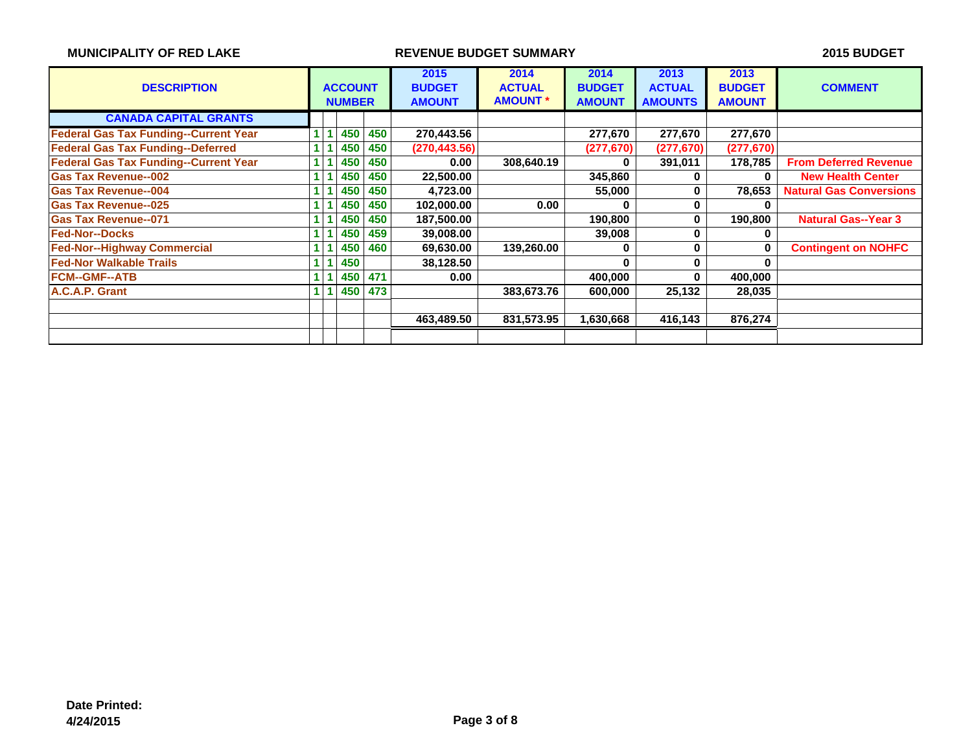| <b>MUNICIPALITY OF RED LAKE</b>              |  |                                 | 2015 BUDGET |                                        |                                          |                                        |                                         |                                        |                                |
|----------------------------------------------|--|---------------------------------|-------------|----------------------------------------|------------------------------------------|----------------------------------------|-----------------------------------------|----------------------------------------|--------------------------------|
| <b>DESCRIPTION</b>                           |  | <b>ACCOUNT</b><br><b>NUMBER</b> |             | 2015<br><b>BUDGET</b><br><b>AMOUNT</b> | 2014<br><b>ACTUAL</b><br><b>AMOUNT *</b> | 2014<br><b>BUDGET</b><br><b>AMOUNT</b> | 2013<br><b>ACTUAL</b><br><b>AMOUNTS</b> | 2013<br><b>BUDGET</b><br><b>AMOUNT</b> | <b>COMMENT</b>                 |
| <b>CANADA CAPITAL GRANTS</b>                 |  |                                 |             |                                        |                                          |                                        |                                         |                                        |                                |
| <b>Federal Gas Tax Funding--Current Year</b> |  | 450                             | 450         | 270,443.56                             |                                          | 277,670                                | 277,670                                 | 277,670                                |                                |
| <b>Federal Gas Tax Funding--Deferred</b>     |  | 450                             | 450         | (270, 443.56)                          |                                          | (277, 670)                             | (277, 670)                              | (277, 670)                             |                                |
| <b>Federal Gas Tax Funding--Current Year</b> |  | 450                             | 450         | 0.00                                   | 308,640.19                               | 0                                      | 391,011                                 | 178,785                                | <b>From Deferred Revenue</b>   |
| <b>Gas Tax Revenue--002</b>                  |  | 450                             | 450         | 22,500.00                              |                                          | 345,860                                | ŋ                                       | 0                                      | <b>New Health Center</b>       |
| <b>Gas Tax Revenue--004</b>                  |  | 450                             | 450         | 4,723.00                               |                                          | 55,000                                 |                                         | 78,653                                 | <b>Natural Gas Conversions</b> |
| <b>Gas Tax Revenue--025</b>                  |  | 450                             | 450         | 102,000.00                             | 0.00                                     | 0                                      |                                         |                                        |                                |
| <b>Gas Tax Revenue--071</b>                  |  | 450                             | 450         | 187,500.00                             |                                          | 190,800                                | 0                                       | 190,800                                | <b>Natural Gas--Year 3</b>     |
| <b>Fed-Nor--Docks</b>                        |  | 450                             | 459         | 39,008.00                              |                                          | 39,008                                 |                                         |                                        |                                |
| <b>Fed-Nor--Highway Commercial</b>           |  | 450                             | 460         | 69,630.00                              | 139,260.00                               |                                        | U                                       | O                                      | <b>Contingent on NOHFC</b>     |
| <b>Fed-Nor Walkable Trails</b>               |  | 450                             |             | 38,128.50                              |                                          | U                                      | 0                                       |                                        |                                |
| <b>FCM--GMF--ATB</b>                         |  | 450                             | 471         | 0.00                                   |                                          | 400,000                                | 0                                       | 400,000                                |                                |
| A.C.A.P. Grant                               |  | 450                             | 473         |                                        | 383,673.76                               | 600,000                                | 25,132                                  | 28,035                                 |                                |
|                                              |  |                                 |             |                                        |                                          |                                        |                                         |                                        |                                |
|                                              |  |                                 |             | 463,489.50                             | 831,573.95                               | 1,630,668                              | 416,143                                 | 876,274                                |                                |
|                                              |  |                                 |             |                                        |                                          |                                        |                                         |                                        |                                |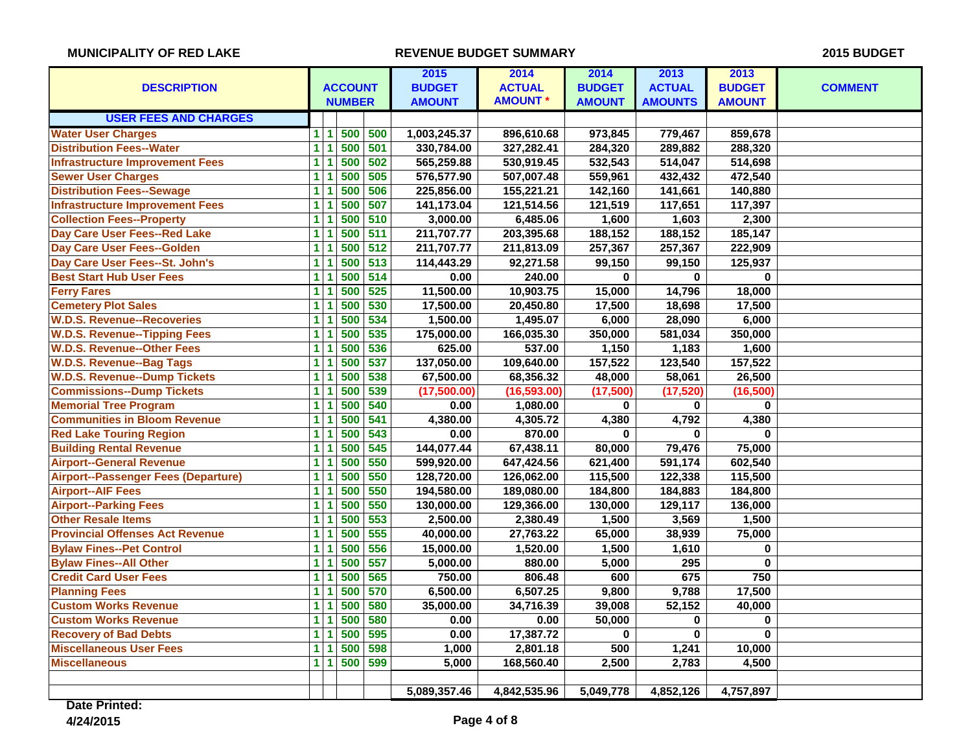|                                        |                         |                |     | 2015          | 2014           | 2014          | 2013           | 2013          |                |
|----------------------------------------|-------------------------|----------------|-----|---------------|----------------|---------------|----------------|---------------|----------------|
| <b>DESCRIPTION</b>                     |                         | <b>ACCOUNT</b> |     | <b>BUDGET</b> | <b>ACTUAL</b>  | <b>BUDGET</b> | <b>ACTUAL</b>  | <b>BUDGET</b> | <b>COMMENT</b> |
|                                        |                         | <b>NUMBER</b>  |     | <b>AMOUNT</b> | <b>AMOUNT*</b> | <b>AMOUNT</b> | <b>AMOUNTS</b> | <b>AMOUNT</b> |                |
| <b>USER FEES AND CHARGES</b>           |                         |                |     |               |                |               |                |               |                |
| <b>Water User Charges</b>              | $\mathbf{1}$<br>-1      | 500            | 500 | 1,003,245.37  | 896,610.68     | 973,845       | 779,467        | 859,678       |                |
| <b>Distribution Fees--Water</b>        | $\overline{1}$          | 500            | 501 | 330,784.00    | 327,282.41     | 284,320       | 289,882        | 288,320       |                |
| <b>Infrastructure Improvement Fees</b> | $\overline{1}$          | 500            | 502 | 565,259.88    | 530,919.45     | 532,543       | 514,047        | 514,698       |                |
| <b>Sewer User Charges</b>              | $\mathbf{1}$            | 500            | 505 | 576,577.90    | 507,007.48     | 559,961       | 432,432        | 472,540       |                |
| <b>Distribution Fees--Sewage</b>       | $\mathbf{1}$            | 500            | 506 | 225,856.00    | 155,221.21     | 142,160       | 141,661        | 140,880       |                |
| <b>Infrastructure Improvement Fees</b> | $\overline{1}$          | 500            | 507 | 141,173.04    | 121,514.56     | 121,519       | 117,651        | 117,397       |                |
| <b>Collection Fees--Property</b>       | 1                       | 500            | 510 | 3,000.00      | 6,485.06       | 1,600         | 1,603          | 2,300         |                |
| Day Care User Fees--Red Lake           | $\mathbf{1}$            | 500            | 511 | 211,707.77    | 203,395.68     | 188,152       | 188,152        | 185,147       |                |
| Day Care User Fees--Golden             | $\mathbf 1$             | 500            | 512 | 211,707.77    | 211,813.09     | 257,367       | 257,367        | 222,909       |                |
| Day Care User Fees--St. John's         | $\overline{1}$          | 500            | 513 | 114,443.29    | 92,271.58      | 99,150        | 99,150         | 125,937       |                |
| <b>Best Start Hub User Fees</b>        | $\overline{\mathbf{1}}$ | 500            | 514 | 0.00          | 240.00         | $\bf{0}$      | $\mathbf{0}$   | $\mathbf 0$   |                |
| <b>Ferry Fares</b>                     | $\overline{1}$          | 500            | 525 | 11,500.00     | 10,903.75      | 15,000        | 14,796         | 18,000        |                |
| <b>Cemetery Plot Sales</b>             | $\overline{\mathbf{1}}$ | 500            | 530 | 17,500.00     | 20,450.80      | 17,500        | 18,698         | 17,500        |                |
| <b>W.D.S. Revenue--Recoveries</b>      | 1                       | 500            | 534 | 1,500.00      | 1,495.07       | 6,000         | 28,090         | 6,000         |                |
| <b>W.D.S. Revenue--Tipping Fees</b>    | $\overline{1}$          | 500            | 535 | 175,000.00    | 166,035.30     | 350,000       | 581,034        | 350,000       |                |
| <b>W.D.S. Revenue--Other Fees</b>      | $\overline{1}$          | 500            | 536 | 625.00        | 537.00         | 1,150         | 1,183          | 1,600         |                |
| <b>W.D.S. Revenue--Bag Tags</b>        | $\mathbf{1}$            | 500            | 537 | 137,050.00    | 109,640.00     | 157,522       | 123,540        | 157,522       |                |
| <b>W.D.S. Revenue--Dump Tickets</b>    | 1                       | 500            | 538 | 67,500.00     | 68,356.32      | 48,000        | 58,061         | 26,500        |                |
| <b>Commissions--Dump Tickets</b>       | $\overline{1}$          | 500            | 539 | (17,500.00)   | (16, 593.00)   | (17,500)      | (17, 520)      | (16, 500)     |                |
| <b>Memorial Tree Program</b>           | $\mathbf{1}$            | 500            | 540 | 0.00          | 1,080.00       | 0             | 0              | 0             |                |
| <b>Communities in Bloom Revenue</b>    | 1                       | 500            | 541 | 4,380.00      | 4,305.72       | 4,380         | 4,792          | 4,380         |                |
| <b>Red Lake Touring Region</b>         | $\blacksquare$          | 500            | 543 | 0.00          | 870.00         | $\bf{0}$      | 0              | $\bf{0}$      |                |
| <b>Building Rental Revenue</b>         | $\blacksquare$          | 500            | 545 | 144,077.44    | 67,438.11      | 80,000        | 79,476         | 75,000        |                |
| <b>Airport--General Revenue</b>        | $\mathbf{1}$            | 500            | 550 | 599,920.00    | 647,424.56     | 621,400       | 591,174        | 602,540       |                |
| Airport--Passenger Fees (Departure)    | $\mathbf{1}$            | 500            | 550 | 128,720.00    | 126,062.00     | 115,500       | 122,338        | 115,500       |                |
| <b>Airport--AIF Fees</b>               | $\mathbf{1}$            | 500            | 550 | 194,580.00    | 189,080.00     | 184,800       | 184,883        | 184,800       |                |
| <b>Airport--Parking Fees</b>           | $\mathbf{1}$            | 500            | 550 | 130,000.00    | 129,366.00     | 130,000       | 129,117        | 136,000       |                |
| <b>Other Resale Items</b>              | $\overline{1}$          | 500            | 553 | 2,500.00      | 2,380.49       | 1,500         | 3,569          | 1,500         |                |
| <b>Provincial Offenses Act Revenue</b> | $\mathbf{1}$            | 500            | 555 | 40,000.00     | 27,763.22      | 65,000        | 38,939         | 75,000        |                |
| <b>Bylaw Fines--Pet Control</b>        | $\mathbf 1$             | 500            | 556 | 15,000.00     | 1,520.00       | 1,500         | 1,610          | $\pmb{0}$     |                |
| <b>Bylaw Fines--All Other</b>          | $\overline{1}$          | 500            | 557 | 5,000.00      | 880.00         | 5,000         | 295            | $\bf{0}$      |                |
| <b>Credit Card User Fees</b>           | $\overline{1}$          | 500            | 565 | 750.00        | 806.48         | 600           | 675            | 750           |                |
| <b>Planning Fees</b>                   | $\overline{1}$          | 500            | 570 | 6,500.00      | 6,507.25       | 9,800         | 9,788          | 17,500        |                |
| <b>Custom Works Revenue</b>            | 1                       | 500            | 580 | 35,000.00     | 34,716.39      | 39,008        | 52,152         | 40,000        |                |
| <b>Custom Works Revenue</b>            | $\overline{1}$          | 500            | 580 | 0.00          | 0.00           | 50,000        | 0              | $\bf{0}$      |                |
| <b>Recovery of Bad Debts</b>           | $\overline{1}$          | 500            | 595 | 0.00          | 17,387.72      | 0             | $\pmb{0}$      | $\pmb{0}$     |                |
| <b>Miscellaneous User Fees</b>         | $\mathbf{1}$            | 500            | 598 | 1,000         | 2,801.18       | 500           | 1,241          | 10,000        |                |
| <b>Miscellaneous</b>                   | $\mathbf{1}$<br>1       | 500            | 599 | 5,000         | 168,560.40     | 2,500         | 2,783          | 4,500         |                |
|                                        |                         |                |     |               |                |               |                |               |                |
|                                        |                         |                |     | 5,089,357.46  | 4,842,535.96   | 5,049,778     | 4,852,126      | 4,757,897     |                |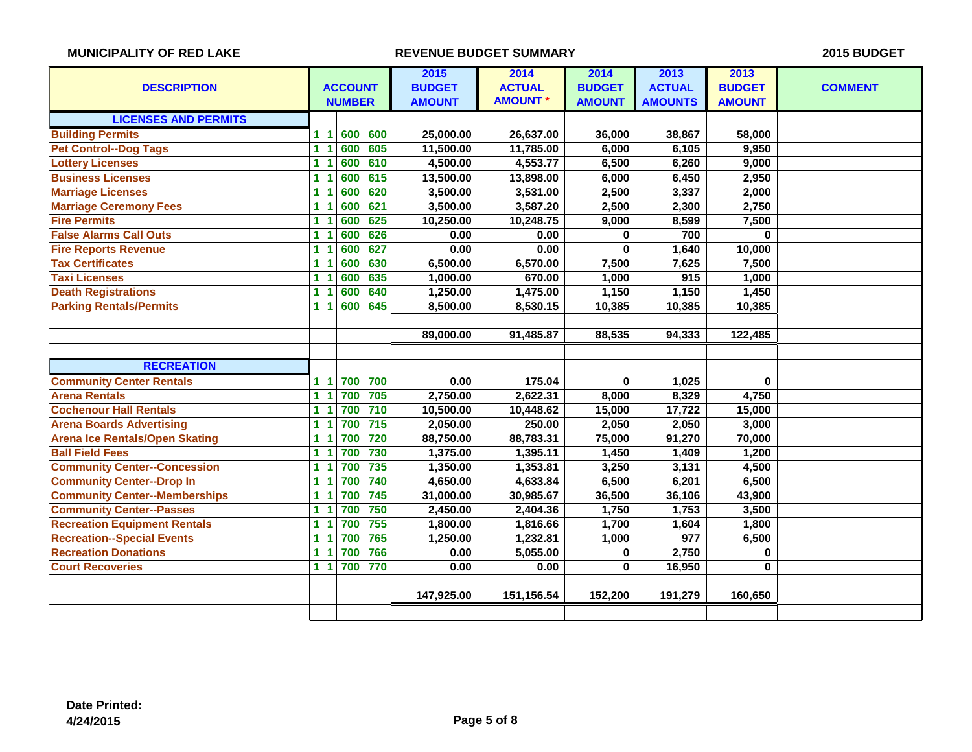| <b>DESCRIPTION</b>                    | <b>ACCOUNT</b>                 |               |     | 2015<br><b>BUDGET</b> | 2014<br><b>ACTUAL</b> | 2014<br><b>BUDGET</b> | 2013<br><b>ACTUAL</b> | 2013<br><b>BUDGET</b> | <b>COMMENT</b> |
|---------------------------------------|--------------------------------|---------------|-----|-----------------------|-----------------------|-----------------------|-----------------------|-----------------------|----------------|
|                                       |                                | <b>NUMBER</b> |     | <b>AMOUNT</b>         | <b>AMOUNT*</b>        | <b>AMOUNT</b>         | <b>AMOUNTS</b>        | <b>AMOUNT</b>         |                |
| <b>LICENSES AND PERMITS</b>           |                                |               |     |                       |                       |                       |                       |                       |                |
| <b>Building Permits</b>               | 1<br>$\blacktriangleleft$      | 600           | 600 | 25,000.00             | 26,637.00             | 36,000                | 38,867                | 58,000                |                |
| <b>Pet Control--Dog Tags</b>          | 1                              | 600           | 605 | 11,500.00             | 11,785.00             | 6,000                 | 6,105                 | 9,950                 |                |
| <b>Lottery Licenses</b>               | 1<br>1                         | 600           | 610 | 4,500.00              | 4,553.77              | 6,500                 | 6,260                 | 9,000                 |                |
| <b>Business Licenses</b>              | 1                              | 600           | 615 | 13,500.00             | 13,898.00             | 6,000                 | 6,450                 | 2,950                 |                |
| <b>Marriage Licenses</b>              | 1<br>1                         | 600           | 620 | 3,500.00              | 3,531.00              | 2,500                 | 3,337                 | 2,000                 |                |
| <b>Marriage Ceremony Fees</b>         | 1                              | 600           | 621 | 3,500.00              | 3,587.20              | 2,500                 | 2,300                 | 2,750                 |                |
| <b>Fire Permits</b>                   | 1                              | 600           | 625 | 10,250.00             | 10,248.75             | 9,000                 | 8,599                 | 7,500                 |                |
| <b>False Alarms Call Outs</b>         | 1<br>1                         | 600           | 626 | 0.00                  | 0.00                  | 0                     | 700                   | 0                     |                |
| <b>Fire Reports Revenue</b>           | 1<br>1                         | 600           | 627 | 0.00                  | 0.00                  | $\mathbf{0}$          | 1,640                 | 10,000                |                |
| <b>Tax Certificates</b>               | $\overline{1}$<br>1            | 600           | 630 | 6,500.00              | 6,570.00              | 7,500                 | 7,625                 | 7,500                 |                |
| <b>Taxi Licenses</b>                  | $\overline{1}$<br>1            | 600           | 635 | 1,000.00              | 670.00                | 1,000                 | 915                   | 1,000                 |                |
| <b>Death Registrations</b>            | 1                              | 600           | 640 | 1,250.00              | 1,475.00              | 1,150                 | 1,150                 | 1,450                 |                |
| <b>Parking Rentals/Permits</b>        | $\mathbf{1}$<br>1              | 600           | 645 | 8,500.00              | 8,530.15              | 10,385                | 10,385                | 10,385                |                |
|                                       |                                |               |     |                       |                       |                       |                       |                       |                |
|                                       |                                |               |     | 89,000.00             | 91,485.87             | 88,535                | 94,333                | 122,485               |                |
|                                       |                                |               |     |                       |                       |                       |                       |                       |                |
| <b>RECREATION</b>                     |                                |               |     |                       |                       |                       |                       |                       |                |
| <b>Community Center Rentals</b>       | $\mathbf{1}$<br>$\blacksquare$ | 700           | 700 | 0.00                  | 175.04                | $\bf{0}$              | 1,025                 | $\bf{0}$              |                |
| <b>Arena Rentals</b>                  | $\overline{1}$<br>1            | 700           | 705 | 2,750.00              | 2,622.31              | 8,000                 | 8,329                 | 4,750                 |                |
| <b>Cochenour Hall Rentals</b>         | $\overline{1}$<br>1            | 700           | 710 | 10,500.00             | 10,448.62             | 15,000                | 17,722                | 15,000                |                |
| <b>Arena Boards Advertising</b>       | 1                              | 700           | 715 | 2,050.00              | 250.00                | 2,050                 | 2,050                 | 3,000                 |                |
| <b>Arena Ice Rentals/Open Skating</b> | 1<br>1                         | 700           | 720 | 88,750.00             | 88,783.31             | 75,000                | 91,270                | 70,000                |                |
| <b>Ball Field Fees</b>                | 1<br>1                         | 700           | 730 | 1,375.00              | 1,395.11              | 1,450                 | 1,409                 | 1,200                 |                |
| <b>Community Center--Concession</b>   | 1                              | 700           | 735 | 1,350.00              | 1,353.81              | 3,250                 | 3,131                 | 4,500                 |                |
| <b>Community Center--Drop In</b>      | 1<br>1                         | 700           | 740 | 4,650.00              | 4,633.84              | 6,500                 | 6,201                 | 6,500                 |                |
| <b>Community Center--Memberships</b>  | 1<br>1                         | 700           | 745 | 31,000.00             | 30,985.67             | 36,500                | 36,106                | 43,900                |                |
| <b>Community Center--Passes</b>       | $\blacksquare$<br>1            | 700           | 750 | 2,450.00              | 2,404.36              | 1,750                 | 1,753                 | 3,500                 |                |
| <b>Recreation Equipment Rentals</b>   | 1<br>1                         | 700           | 755 | 1,800.00              | 1,816.66              | 1,700                 | 1,604                 | 1,800                 |                |
| <b>Recreation--Special Events</b>     | 1<br>1                         | 700           | 765 | 1,250.00              | 1,232.81              | 1,000                 | 977                   | 6,500                 |                |
| <b>Recreation Donations</b>           | $\mathbf{1}$<br>-1             | 700           | 766 | 0.00                  | 5,055.00              | 0                     | 2,750                 | 0                     |                |
| <b>Court Recoveries</b>               | $\mathbf{1}$<br>$\overline{1}$ | 700           | 770 | 0.00                  | 0.00                  | 0                     | 16,950                | 0                     |                |
|                                       |                                |               |     |                       |                       |                       |                       |                       |                |
|                                       |                                |               |     | 147,925.00            | 151,156.54            | 152,200               | 191,279               | 160,650               |                |
|                                       |                                |               |     |                       |                       |                       |                       |                       |                |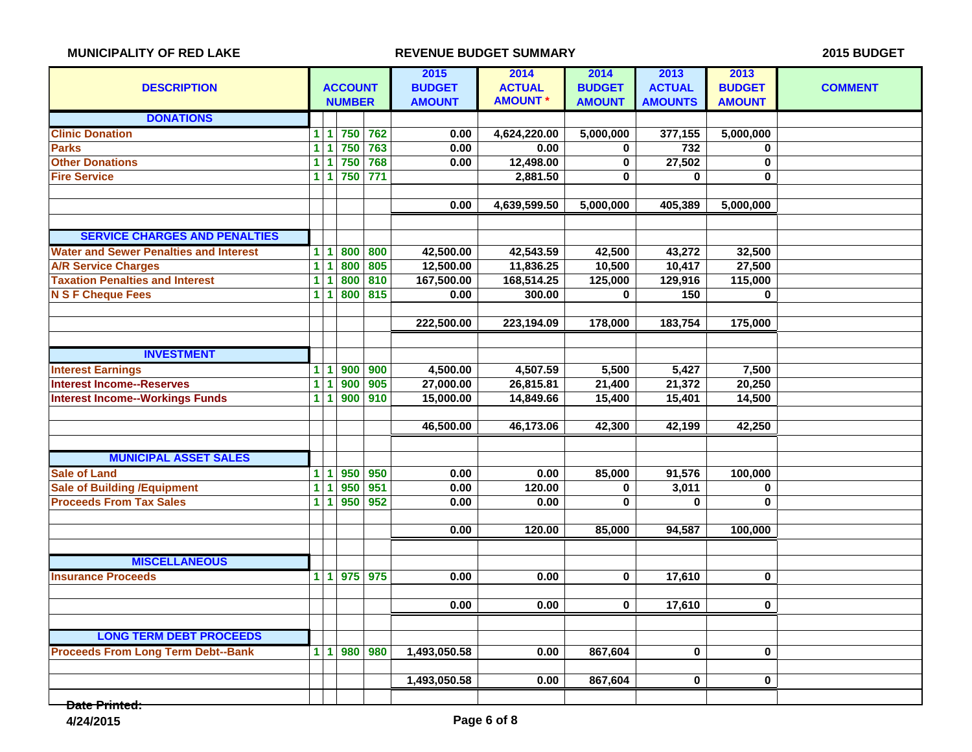|                                               |                |                      |                |                  | 2015          | 2014            | 2014          | 2013             | 2013          |                |
|-----------------------------------------------|----------------|----------------------|----------------|------------------|---------------|-----------------|---------------|------------------|---------------|----------------|
| <b>DESCRIPTION</b>                            |                |                      | <b>ACCOUNT</b> |                  | <b>BUDGET</b> | <b>ACTUAL</b>   | <b>BUDGET</b> | <b>ACTUAL</b>    | <b>BUDGET</b> | <b>COMMENT</b> |
|                                               |                |                      | <b>NUMBER</b>  |                  | <b>AMOUNT</b> | <b>AMOUNT *</b> | <b>AMOUNT</b> | <b>AMOUNTS</b>   | <b>AMOUNT</b> |                |
| <b>DONATIONS</b>                              |                |                      |                |                  |               |                 |               |                  |               |                |
| <b>Clinic Donation</b>                        | 1.             |                      |                | 1 750 762        | 0.00          | 4,624,220.00    | 5,000,000     | 377,155          | 5,000,000     |                |
| <b>Parks</b>                                  | $\mathbf{1}$   |                      | 750            | 763              | 0.00          | 0.00            | 0             | $\overline{732}$ | $\bf{0}$      |                |
| <b>Other Donations</b>                        | $\mathbf{1}$   |                      | 750            | 768              | 0.00          | 12,498.00       | $\pmb{0}$     | 27,502           | $\pmb{0}$     |                |
| <b>Fire Service</b>                           | $\mathbf{1}$   | 1                    | 750            | $\overline{771}$ |               | 2,881.50        | $\mathbf 0$   | $\mathbf{0}$     | $\bf{0}$      |                |
|                                               |                |                      |                |                  |               |                 |               |                  |               |                |
|                                               |                |                      |                |                  | 0.00          | 4,639,599.50    | 5,000,000     | 405,389          | 5,000,000     |                |
|                                               |                |                      |                |                  |               |                 |               |                  |               |                |
| <b>SERVICE CHARGES AND PENALTIES</b>          |                |                      |                |                  |               |                 |               |                  |               |                |
| <b>Water and Sewer Penalties and Interest</b> | 1              | $\blacktriangleleft$ | 800            | 800              | 42,500.00     | 42,543.59       | 42,500        | 43,272           | 32,500        |                |
| <b>A/R Service Charges</b>                    | $\overline{1}$ | 1                    | 800            | 805              | 12,500.00     | 11,836.25       | 10,500        | 10,417           | 27,500        |                |
| <b>Taxation Penalties and Interest</b>        | $\mathbf{1}$   |                      | 800            | 810              | 167,500.00    | 168,514.25      | 125,000       | 129,916          | 115,000       |                |
| <b>N S F Cheque Fees</b>                      | $\mathbf{1}$   | 1                    | 800            | 815              | 0.00          | 300.00          | $\bf{0}$      | 150              | $\bf{0}$      |                |
|                                               |                |                      |                |                  |               |                 |               |                  |               |                |
|                                               |                |                      |                |                  | 222,500.00    | 223,194.09      | 178,000       | 183,754          | 175,000       |                |
|                                               |                |                      |                |                  |               |                 |               |                  |               |                |
| <b>INVESTMENT</b>                             |                |                      |                |                  |               |                 |               |                  |               |                |
| <b>Interest Earnings</b>                      | 1 <sup>1</sup> | -1                   | 900            | 900              | 4,500.00      | 4,507.59        | 5,500         | 5,427            | 7,500         |                |
| <b>Interest Income--Reserves</b>              | $\overline{1}$ |                      | 900            | 905              | 27,000.00     | 26,815.81       | 21,400        | 21,372           | 20,250        |                |
| <b>Interest Income--Workings Funds</b>        | $\mathbf{1}$   | 1                    | 900            | 910              | 15,000.00     | 14,849.66       | 15,400        | 15,401           | 14,500        |                |
|                                               |                |                      |                |                  |               |                 |               |                  |               |                |
|                                               |                |                      |                |                  | 46,500.00     | 46,173.06       | 42,300        | 42,199           | 42,250        |                |
|                                               |                |                      |                |                  |               |                 |               |                  |               |                |
| <b>MUNICIPAL ASSET SALES</b>                  |                |                      |                |                  |               |                 |               |                  |               |                |
| <b>Sale of Land</b>                           | $\mathbf{1}$   | 1                    |                | $950$ 950        | 0.00          | 0.00            | 85,000        | 91,576           | 100,000       |                |
| <b>Sale of Building /Equipment</b>            | $\overline{1}$ | 1                    | 950            | 951              | 0.00          | 120.00          | 0             | 3,011            | $\bf{0}$      |                |
| <b>Proceeds From Tax Sales</b>                | 1 <sup>1</sup> | -1                   | 950            | 952              | 0.00          | 0.00            | $\mathbf 0$   | 0                | $\bf{0}$      |                |
|                                               |                |                      |                |                  |               |                 |               |                  |               |                |
|                                               |                |                      |                |                  | 0.00          | 120.00          | 85,000        | 94,587           | 100,000       |                |
|                                               |                |                      |                |                  |               |                 |               |                  |               |                |
| <b>MISCELLANEOUS</b>                          |                |                      |                |                  |               |                 |               |                  |               |                |
| <b>Insurance Proceeds</b>                     | 1 <sup>1</sup> |                      |                | 1 975 975        | 0.00          | 0.00            | 0             | 17,610           | 0             |                |
|                                               |                |                      |                |                  |               |                 |               |                  |               |                |
|                                               |                |                      |                |                  | 0.00          | 0.00            | 0             | 17,610           | $\bf{0}$      |                |
|                                               |                |                      |                |                  |               |                 |               |                  |               |                |
| <b>LONG TERM DEBT PROCEEDS</b>                |                |                      |                |                  |               |                 |               |                  |               |                |
| <b>Proceeds From Long Term Debt--Bank</b>     |                |                      |                | 1 1 980 980      | 1,493,050.58  | 0.00            | 867,604       | $\mathbf 0$      | $\bf{0}$      |                |
|                                               |                |                      |                |                  |               |                 |               |                  |               |                |
|                                               |                |                      |                |                  | 1,493,050.58  | 0.00            | 867,604       | 0                | $\bf{0}$      |                |
| .                                             |                |                      |                |                  |               |                 |               |                  |               |                |

**Wate Printed:**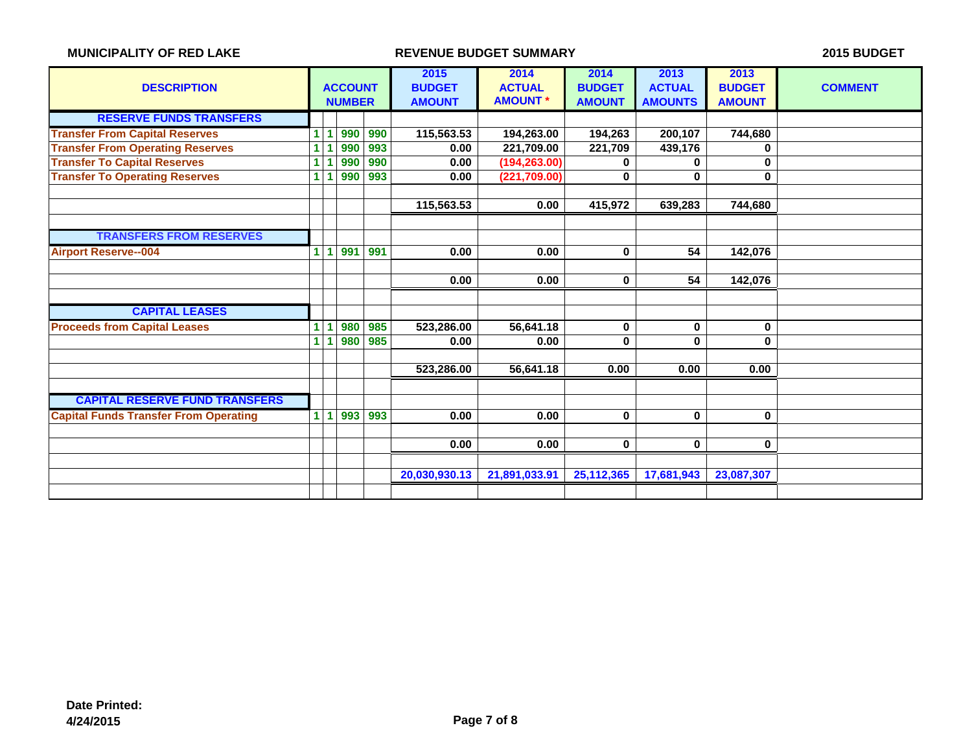| <b>DESCRIPTION</b>                           |                | <b>ACCOUNT</b><br><b>NUMBER</b> |     |     | 2015<br><b>BUDGET</b><br><b>AMOUNT</b> | 2014<br><b>ACTUAL</b><br><b>AMOUNT *</b> | 2014<br><b>BUDGET</b><br><b>AMOUNT</b> | 2013<br><b>ACTUAL</b><br><b>AMOUNTS</b> | 2013<br><b>BUDGET</b><br><b>AMOUNT</b> | <b>COMMENT</b> |
|----------------------------------------------|----------------|---------------------------------|-----|-----|----------------------------------------|------------------------------------------|----------------------------------------|-----------------------------------------|----------------------------------------|----------------|
| <b>RESERVE FUNDS TRANSFERS</b>               |                |                                 |     |     |                                        |                                          |                                        |                                         |                                        |                |
| <b>Transfer From Capital Reserves</b>        | 1.             |                                 | 990 | 990 | 115,563.53                             | 194,263.00                               | 194,263                                | 200,107                                 | 744,680                                |                |
| <b>Transfer From Operating Reserves</b>      | 1.             |                                 | 990 | 993 | 0.00                                   | 221,709.00                               | 221.709                                | 439,176                                 | 0                                      |                |
| <b>Transfer To Capital Reserves</b>          | 1              |                                 | 990 | 990 | 0.00                                   | (194, 263.00)                            | 0                                      | 0                                       | 0                                      |                |
| <b>Transfer To Operating Reserves</b>        | 1.             |                                 | 990 | 993 | 0.00                                   | (221, 709.00)                            | 0                                      | 0                                       | $\bf{0}$                               |                |
|                                              |                |                                 |     |     |                                        |                                          |                                        |                                         |                                        |                |
|                                              |                |                                 |     |     | 115,563.53                             | 0.00                                     | 415,972                                | 639,283                                 | 744,680                                |                |
|                                              |                |                                 |     |     |                                        |                                          |                                        |                                         |                                        |                |
| <b>TRANSFERS FROM RESERVES</b>               |                |                                 |     |     |                                        |                                          |                                        |                                         |                                        |                |
| <b>Airport Reserve--004</b>                  | 1.             | 1                               | 991 | 991 | 0.00                                   | 0.00                                     | $\bf{0}$                               | 54                                      | 142,076                                |                |
|                                              |                |                                 |     |     |                                        |                                          |                                        |                                         |                                        |                |
|                                              |                |                                 |     |     | 0.00                                   | 0.00                                     | $\bf{0}$                               | 54                                      | 142,076                                |                |
|                                              |                |                                 |     |     |                                        |                                          |                                        |                                         |                                        |                |
| <b>CAPITAL LEASES</b>                        |                |                                 |     |     |                                        |                                          |                                        |                                         |                                        |                |
| <b>Proceeds from Capital Leases</b>          | 1              |                                 | 980 | 985 | 523,286.00                             | 56,641.18                                | $\bf{0}$                               | 0                                       | $\bf{0}$                               |                |
|                                              | $\mathbf{1}$   |                                 | 980 | 985 | 0.00                                   | 0.00                                     | 0                                      | 0                                       | $\bf{0}$                               |                |
|                                              |                |                                 |     |     |                                        |                                          |                                        |                                         |                                        |                |
|                                              |                |                                 |     |     | 523,286.00                             | 56,641.18                                | 0.00                                   | 0.00                                    | 0.00                                   |                |
|                                              |                |                                 |     |     |                                        |                                          |                                        |                                         |                                        |                |
| <b>CAPITAL RESERVE FUND TRANSFERS</b>        |                |                                 |     |     |                                        |                                          |                                        |                                         |                                        |                |
| <b>Capital Funds Transfer From Operating</b> | $\blacksquare$ | 11.                             | 993 | 993 | 0.00                                   | 0.00                                     | $\bf{0}$                               | $\mathbf{0}$                            | $\mathbf{0}$                           |                |
|                                              |                |                                 |     |     |                                        |                                          |                                        |                                         |                                        |                |
|                                              |                |                                 |     |     | 0.00                                   | 0.00                                     | $\bf{0}$                               | 0                                       | 0                                      |                |
|                                              |                |                                 |     |     |                                        |                                          |                                        |                                         |                                        |                |
|                                              |                |                                 |     |     | 20,030,930.13                          | 21,891,033.91                            | 25, 112, 365                           | 17,681,943                              | 23,087,307                             |                |
|                                              |                |                                 |     |     |                                        |                                          |                                        |                                         |                                        |                |